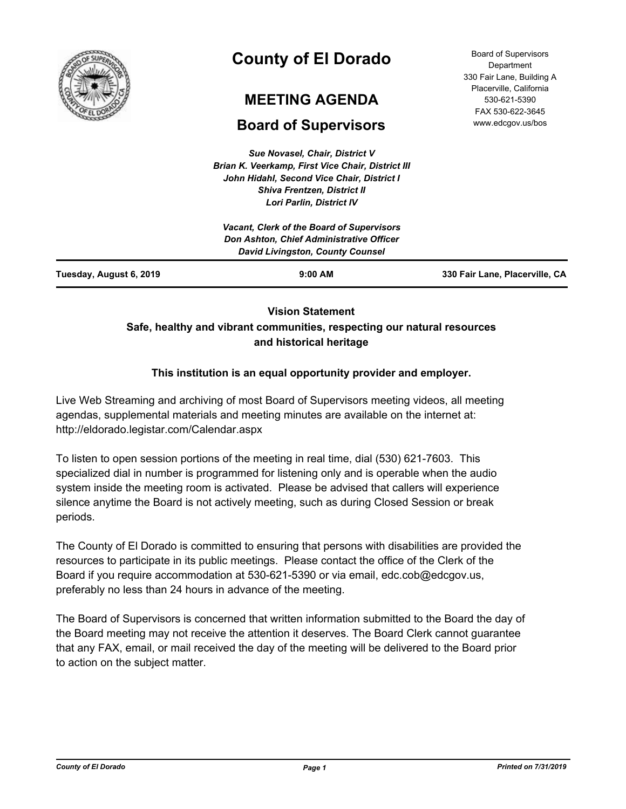

# **County of El Dorado**

## **MEETING AGENDA**

## **Board of Supervisors**

*Sue Novasel, Chair, District V Brian K. Veerkamp, First Vice Chair, District III John Hidahl, Second Vice Chair, District I Shiva Frentzen, District II*

| <b>Board of Supervisors</b> |
|-----------------------------|
| Department                  |
| 330 Fair Lane, Building A   |
| Placerville, California     |
| 530-621-5390                |
| FAX 530-622-3645            |
| www.edcgov.us/bos           |

| Tuesday, August 6, 2019 | $9:00$ AM                                                                           | 330 Fair Lane, Placerville, CA |
|-------------------------|-------------------------------------------------------------------------------------|--------------------------------|
|                         | Don Ashton, Chief Administrative Officer<br><b>David Livingston, County Counsel</b> |                                |
|                         | <b>Vacant, Clerk of the Board of Supervisors</b>                                    |                                |
|                         | <b>Lori Parlin, District IV</b>                                                     |                                |

## **Vision Statement Safe, healthy and vibrant communities, respecting our natural resources and historical heritage**

## **This institution is an equal opportunity provider and employer.**

Live Web Streaming and archiving of most Board of Supervisors meeting videos, all meeting agendas, supplemental materials and meeting minutes are available on the internet at: http://eldorado.legistar.com/Calendar.aspx

To listen to open session portions of the meeting in real time, dial (530) 621-7603. This specialized dial in number is programmed for listening only and is operable when the audio system inside the meeting room is activated. Please be advised that callers will experience silence anytime the Board is not actively meeting, such as during Closed Session or break periods.

The County of El Dorado is committed to ensuring that persons with disabilities are provided the resources to participate in its public meetings. Please contact the office of the Clerk of the Board if you require accommodation at 530-621-5390 or via email, edc.cob@edcgov.us, preferably no less than 24 hours in advance of the meeting.

The Board of Supervisors is concerned that written information submitted to the Board the day of the Board meeting may not receive the attention it deserves. The Board Clerk cannot guarantee that any FAX, email, or mail received the day of the meeting will be delivered to the Board prior to action on the subject matter.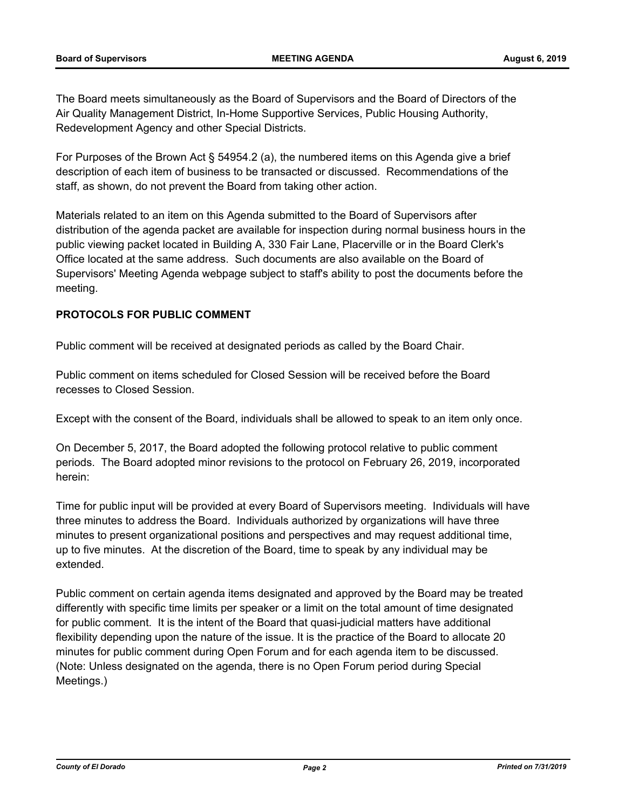The Board meets simultaneously as the Board of Supervisors and the Board of Directors of the Air Quality Management District, In-Home Supportive Services, Public Housing Authority, Redevelopment Agency and other Special Districts.

For Purposes of the Brown Act § 54954.2 (a), the numbered items on this Agenda give a brief description of each item of business to be transacted or discussed. Recommendations of the staff, as shown, do not prevent the Board from taking other action.

Materials related to an item on this Agenda submitted to the Board of Supervisors after distribution of the agenda packet are available for inspection during normal business hours in the public viewing packet located in Building A, 330 Fair Lane, Placerville or in the Board Clerk's Office located at the same address. Such documents are also available on the Board of Supervisors' Meeting Agenda webpage subject to staff's ability to post the documents before the meeting.

## **PROTOCOLS FOR PUBLIC COMMENT**

Public comment will be received at designated periods as called by the Board Chair.

Public comment on items scheduled for Closed Session will be received before the Board recesses to Closed Session.

Except with the consent of the Board, individuals shall be allowed to speak to an item only once.

On December 5, 2017, the Board adopted the following protocol relative to public comment periods. The Board adopted minor revisions to the protocol on February 26, 2019, incorporated herein:

Time for public input will be provided at every Board of Supervisors meeting. Individuals will have three minutes to address the Board. Individuals authorized by organizations will have three minutes to present organizational positions and perspectives and may request additional time, up to five minutes. At the discretion of the Board, time to speak by any individual may be extended.

Public comment on certain agenda items designated and approved by the Board may be treated differently with specific time limits per speaker or a limit on the total amount of time designated for public comment. It is the intent of the Board that quasi-judicial matters have additional flexibility depending upon the nature of the issue. It is the practice of the Board to allocate 20 minutes for public comment during Open Forum and for each agenda item to be discussed. (Note: Unless designated on the agenda, there is no Open Forum period during Special Meetings.)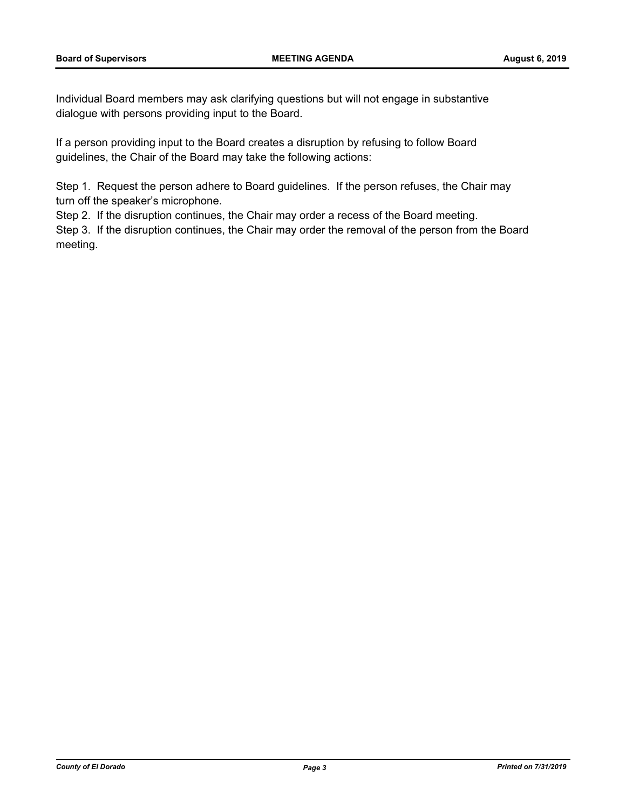Individual Board members may ask clarifying questions but will not engage in substantive dialogue with persons providing input to the Board.

If a person providing input to the Board creates a disruption by refusing to follow Board guidelines, the Chair of the Board may take the following actions:

Step 1. Request the person adhere to Board guidelines. If the person refuses, the Chair may turn off the speaker's microphone.

Step 2. If the disruption continues, the Chair may order a recess of the Board meeting.

Step 3. If the disruption continues, the Chair may order the removal of the person from the Board meeting.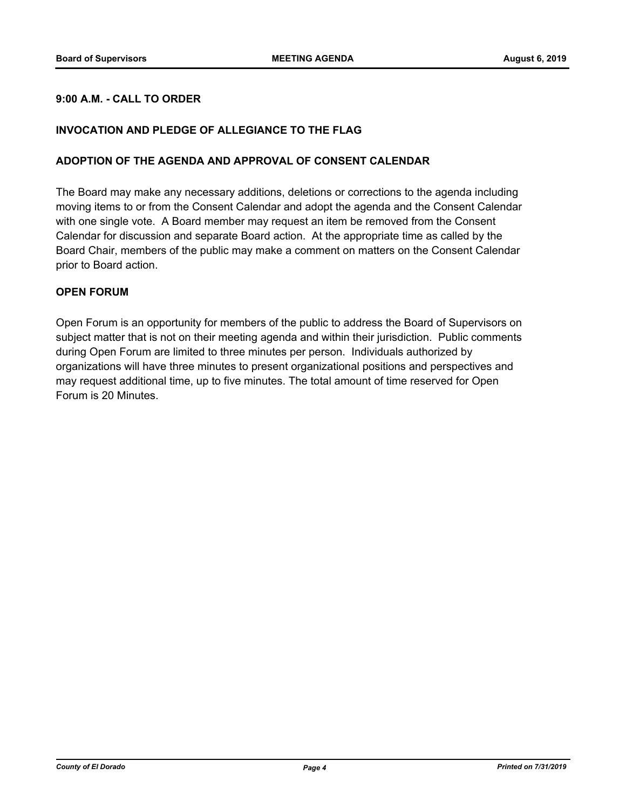## **9:00 A.M. - CALL TO ORDER**

#### **INVOCATION AND PLEDGE OF ALLEGIANCE TO THE FLAG**

#### **ADOPTION OF THE AGENDA AND APPROVAL OF CONSENT CALENDAR**

The Board may make any necessary additions, deletions or corrections to the agenda including moving items to or from the Consent Calendar and adopt the agenda and the Consent Calendar with one single vote. A Board member may request an item be removed from the Consent Calendar for discussion and separate Board action. At the appropriate time as called by the Board Chair, members of the public may make a comment on matters on the Consent Calendar prior to Board action.

#### **OPEN FORUM**

Open Forum is an opportunity for members of the public to address the Board of Supervisors on subject matter that is not on their meeting agenda and within their jurisdiction. Public comments during Open Forum are limited to three minutes per person. Individuals authorized by organizations will have three minutes to present organizational positions and perspectives and may request additional time, up to five minutes. The total amount of time reserved for Open Forum is 20 Minutes.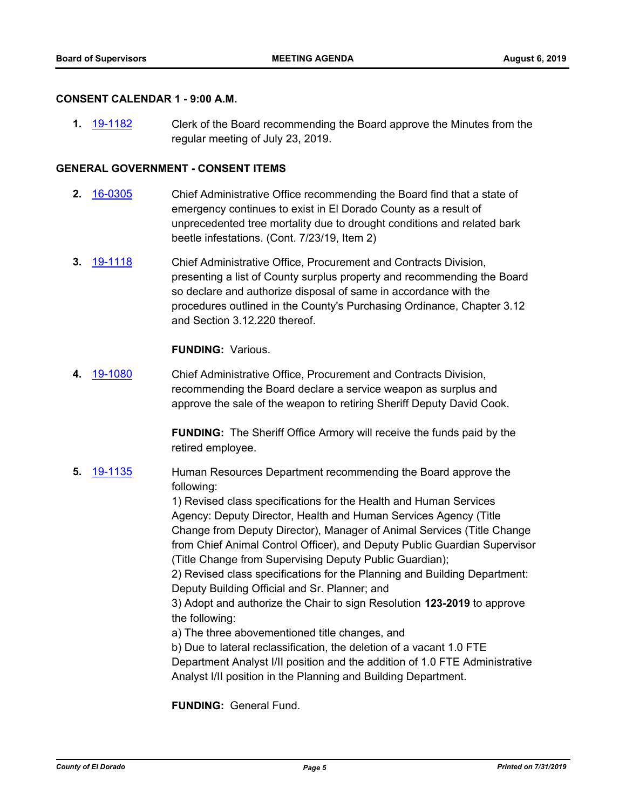#### **CONSENT CALENDAR 1 - 9:00 A.M.**

**1.** [19-1182](http://eldorado.legistar.com/gateway.aspx?m=l&id=/matter.aspx?key=26505) Clerk of the Board recommending the Board approve the Minutes from the regular meeting of July 23, 2019.

#### **GENERAL GOVERNMENT - CONSENT ITEMS**

- **2.** [16-0305](http://eldorado.legistar.com/gateway.aspx?m=l&id=/matter.aspx?key=20961) Chief Administrative Office recommending the Board find that a state of emergency continues to exist in El Dorado County as a result of unprecedented tree mortality due to drought conditions and related bark beetle infestations. (Cont. 7/23/19, Item 2)
- **3.** [19-1118](http://eldorado.legistar.com/gateway.aspx?m=l&id=/matter.aspx?key=26440) Chief Administrative Office, Procurement and Contracts Division, presenting a list of County surplus property and recommending the Board so declare and authorize disposal of same in accordance with the procedures outlined in the County's Purchasing Ordinance, Chapter 3.12 and Section 3.12.220 thereof.

#### **FUNDING:** Various.

**4.** [19-1080](http://eldorado.legistar.com/gateway.aspx?m=l&id=/matter.aspx?key=26402) Chief Administrative Office, Procurement and Contracts Division, recommending the Board declare a service weapon as surplus and approve the sale of the weapon to retiring Sheriff Deputy David Cook.

> **FUNDING:** The Sheriff Office Armory will receive the funds paid by the retired employee.

**5.** [19-1135](http://eldorado.legistar.com/gateway.aspx?m=l&id=/matter.aspx?key=26457) Human Resources Department recommending the Board approve the following:

> 1) Revised class specifications for the Health and Human Services Agency: Deputy Director, Health and Human Services Agency (Title Change from Deputy Director), Manager of Animal Services (Title Change from Chief Animal Control Officer), and Deputy Public Guardian Supervisor (Title Change from Supervising Deputy Public Guardian);

2) Revised class specifications for the Planning and Building Department: Deputy Building Official and Sr. Planner; and

3) Adopt and authorize the Chair to sign Resolution **123-2019** to approve the following:

a) The three abovementioned title changes, and

b) Due to lateral reclassification, the deletion of a vacant 1.0 FTE Department Analyst I/II position and the addition of 1.0 FTE Administrative Analyst I/II position in the Planning and Building Department.

**FUNDING:** General Fund.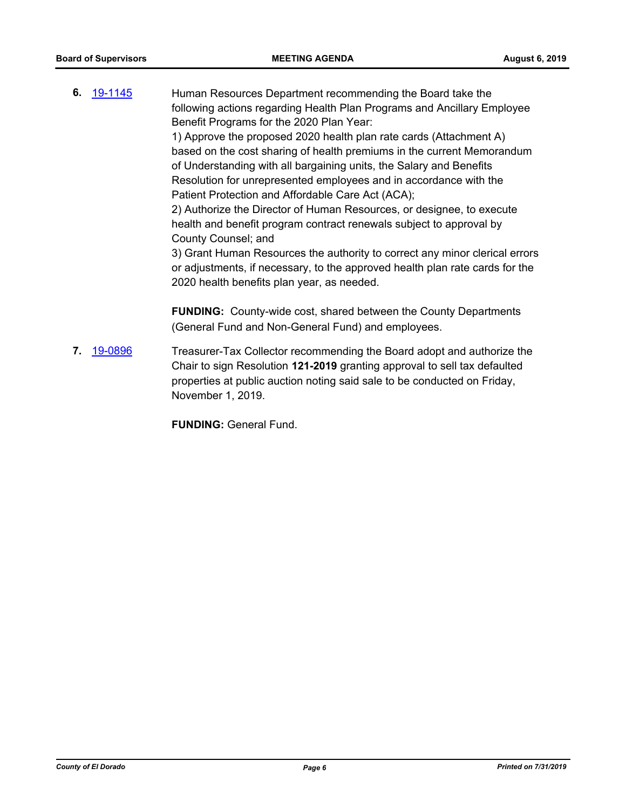**6.** [19-1145](http://eldorado.legistar.com/gateway.aspx?m=l&id=/matter.aspx?key=26467) Human Resources Department recommending the Board take the following actions regarding Health Plan Programs and Ancillary Employee Benefit Programs for the 2020 Plan Year: 1) Approve the proposed 2020 health plan rate cards (Attachment A)

based on the cost sharing of health premiums in the current Memorandum of Understanding with all bargaining units, the Salary and Benefits Resolution for unrepresented employees and in accordance with the Patient Protection and Affordable Care Act (ACA);

2) Authorize the Director of Human Resources, or designee, to execute health and benefit program contract renewals subject to approval by County Counsel; and

3) Grant Human Resources the authority to correct any minor clerical errors or adjustments, if necessary, to the approved health plan rate cards for the 2020 health benefits plan year, as needed.

**FUNDING:** County-wide cost, shared between the County Departments (General Fund and Non-General Fund) and employees.

**7.** [19-0896](http://eldorado.legistar.com/gateway.aspx?m=l&id=/matter.aspx?key=26219) Treasurer-Tax Collector recommending the Board adopt and authorize the Chair to sign Resolution **121-2019** granting approval to sell tax defaulted properties at public auction noting said sale to be conducted on Friday, November 1, 2019.

**FUNDING:** General Fund.

*County of El Dorado Page 6 Printed on 7/31/2019*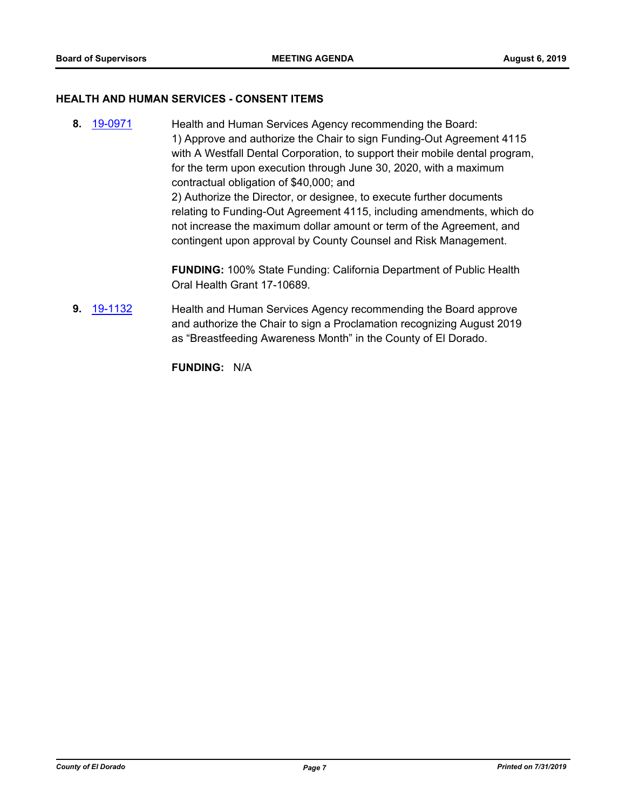#### **HEALTH AND HUMAN SERVICES - CONSENT ITEMS**

**8.** [19-0971](http://eldorado.legistar.com/gateway.aspx?m=l&id=/matter.aspx?key=26294) Health and Human Services Agency recommending the Board: 1) Approve and authorize the Chair to sign Funding-Out Agreement 4115 with A Westfall Dental Corporation, to support their mobile dental program, for the term upon execution through June 30, 2020, with a maximum contractual obligation of \$40,000; and 2) Authorize the Director, or designee, to execute further documents relating to Funding-Out Agreement 4115, including amendments, which do not increase the maximum dollar amount or term of the Agreement, and contingent upon approval by County Counsel and Risk Management.

> **FUNDING:** 100% State Funding: California Department of Public Health Oral Health Grant 17-10689.

**9.** [19-1132](http://eldorado.legistar.com/gateway.aspx?m=l&id=/matter.aspx?key=26454) Health and Human Services Agency recommending the Board approve and authorize the Chair to sign a Proclamation recognizing August 2019 as "Breastfeeding Awareness Month" in the County of El Dorado.

**FUNDING:** N/A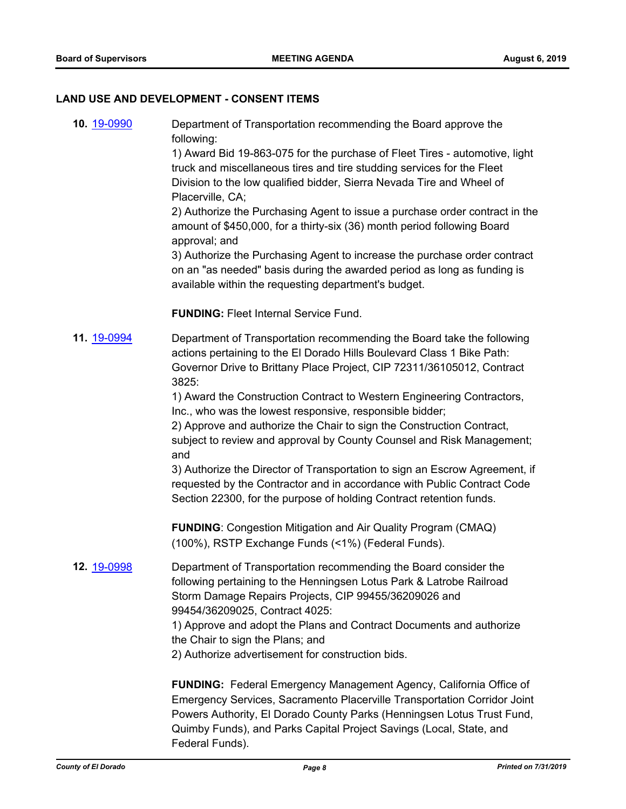#### **LAND USE AND DEVELOPMENT - CONSENT ITEMS**

**10.** [19-0990](http://eldorado.legistar.com/gateway.aspx?m=l&id=/matter.aspx?key=26313) Department of Transportation recommending the Board approve the following:

> 1) Award Bid 19-863-075 for the purchase of Fleet Tires - automotive, light truck and miscellaneous tires and tire studding services for the Fleet Division to the low qualified bidder, Sierra Nevada Tire and Wheel of Placerville, CA;

2) Authorize the Purchasing Agent to issue a purchase order contract in the amount of \$450,000, for a thirty-six (36) month period following Board approval; and

3) Authorize the Purchasing Agent to increase the purchase order contract on an "as needed" basis during the awarded period as long as funding is available within the requesting department's budget.

**FUNDING:** Fleet Internal Service Fund.

**11.** [19-0994](http://eldorado.legistar.com/gateway.aspx?m=l&id=/matter.aspx?key=26317) Department of Transportation recommending the Board take the following actions pertaining to the El Dorado Hills Boulevard Class 1 Bike Path: Governor Drive to Brittany Place Project, CIP 72311/36105012, Contract 3825:

> 1) Award the Construction Contract to Western Engineering Contractors, Inc., who was the lowest responsive, responsible bidder;

2) Approve and authorize the Chair to sign the Construction Contract, subject to review and approval by County Counsel and Risk Management; and

3) Authorize the Director of Transportation to sign an Escrow Agreement, if requested by the Contractor and in accordance with Public Contract Code Section 22300, for the purpose of holding Contract retention funds.

**FUNDING**: Congestion Mitigation and Air Quality Program (CMAQ) (100%), RSTP Exchange Funds (<1%) (Federal Funds).

**12.** [19-0998](http://eldorado.legistar.com/gateway.aspx?m=l&id=/matter.aspx?key=26321) Department of Transportation recommending the Board consider the following pertaining to the Henningsen Lotus Park & Latrobe Railroad Storm Damage Repairs Projects, CIP 99455/36209026 and 99454/36209025, Contract 4025:

> 1) Approve and adopt the Plans and Contract Documents and authorize the Chair to sign the Plans; and

2) Authorize advertisement for construction bids.

**FUNDING:** Federal Emergency Management Agency, California Office of Emergency Services, Sacramento Placerville Transportation Corridor Joint Powers Authority, El Dorado County Parks (Henningsen Lotus Trust Fund, Quimby Funds), and Parks Capital Project Savings (Local, State, and Federal Funds).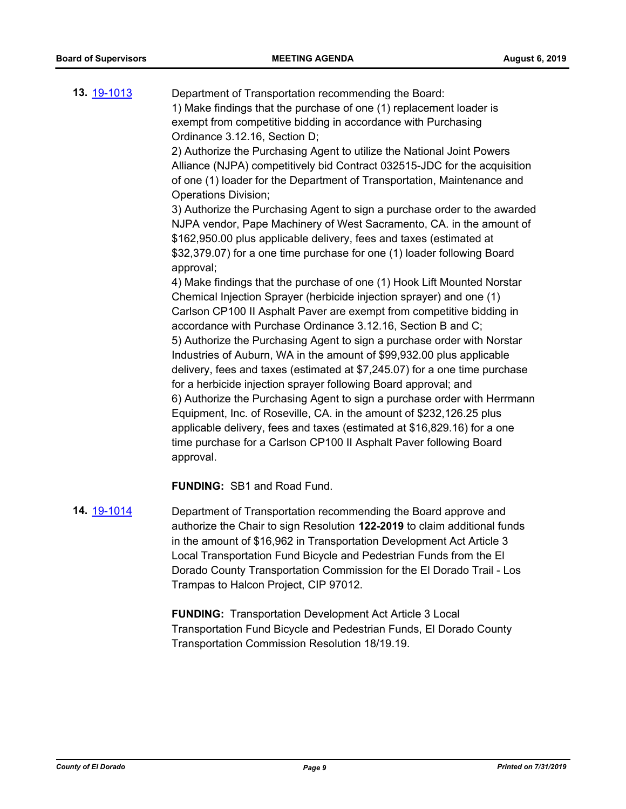**13.** [19-1013](http://eldorado.legistar.com/gateway.aspx?m=l&id=/matter.aspx?key=26335) Department of Transportation recommending the Board: 1) Make findings that the purchase of one (1) replacement loader is exempt from competitive bidding in accordance with Purchasing Ordinance 3.12.16, Section D; 2) Authorize the Purchasing Agent to utilize the National Joint Powers Alliance (NJPA) competitively bid Contract 032515-JDC for the acquisition of one (1) loader for the Department of Transportation, Maintenance and Operations Division; 3) Authorize the Purchasing Agent to sign a purchase order to the awarded NJPA vendor, Pape Machinery of West Sacramento, CA. in the amount of \$162,950.00 plus applicable delivery, fees and taxes (estimated at \$32,379.07) for a one time purchase for one (1) loader following Board approval; 4) Make findings that the purchase of one (1) Hook Lift Mounted Norstar Chemical Injection Sprayer (herbicide injection sprayer) and one (1) Carlson CP100 II Asphalt Paver are exempt from competitive bidding in accordance with Purchase Ordinance 3.12.16, Section B and C; 5) Authorize the Purchasing Agent to sign a purchase order with Norstar Industries of Auburn, WA in the amount of \$99,932.00 plus applicable delivery, fees and taxes (estimated at \$7,245.07) for a one time purchase for a herbicide injection sprayer following Board approval; and 6) Authorize the Purchasing Agent to sign a purchase order with Herrmann Equipment, Inc. of Roseville, CA. in the amount of \$232,126.25 plus applicable delivery, fees and taxes (estimated at \$16,829.16) for a one time purchase for a Carlson CP100 II Asphalt Paver following Board approval.

**FUNDING:** SB1 and Road Fund.

**14.** [19-1014](http://eldorado.legistar.com/gateway.aspx?m=l&id=/matter.aspx?key=26336) Department of Transportation recommending the Board approve and authorize the Chair to sign Resolution **122-2019** to claim additional funds in the amount of \$16,962 in Transportation Development Act Article 3 Local Transportation Fund Bicycle and Pedestrian Funds from the El Dorado County Transportation Commission for the El Dorado Trail - Los Trampas to Halcon Project, CIP 97012.

> **FUNDING:** Transportation Development Act Article 3 Local Transportation Fund Bicycle and Pedestrian Funds, El Dorado County Transportation Commission Resolution 18/19.19.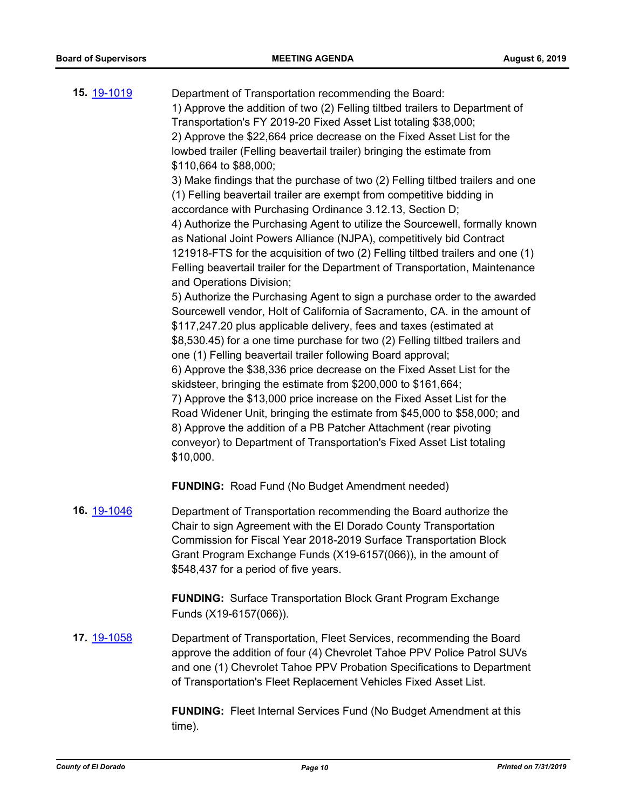| 15. 19-1019 | Department of Transportation recommending the Board:<br>1) Approve the addition of two (2) Felling tiltbed trailers to Department of<br>Transportation's FY 2019-20 Fixed Asset List totaling \$38,000;<br>2) Approve the \$22,664 price decrease on the Fixed Asset List for the<br>lowbed trailer (Felling beavertail trailer) bringing the estimate from<br>\$110,664 to \$88,000;<br>3) Make findings that the purchase of two (2) Felling tiltbed trailers and one<br>(1) Felling beavertail trailer are exempt from competitive bidding in<br>accordance with Purchasing Ordinance 3.12.13, Section D;<br>4) Authorize the Purchasing Agent to utilize the Sourcewell, formally known<br>as National Joint Powers Alliance (NJPA), competitively bid Contract<br>121918-FTS for the acquisition of two (2) Felling tiltbed trailers and one (1)<br>Felling beavertail trailer for the Department of Transportation, Maintenance<br>and Operations Division;<br>5) Authorize the Purchasing Agent to sign a purchase order to the awarded<br>Sourcewell vendor, Holt of California of Sacramento, CA. in the amount of<br>\$117,247.20 plus applicable delivery, fees and taxes (estimated at<br>\$8,530.45) for a one time purchase for two (2) Felling tiltbed trailers and<br>one (1) Felling beavertail trailer following Board approval;<br>6) Approve the \$38,336 price decrease on the Fixed Asset List for the<br>skidsteer, bringing the estimate from \$200,000 to \$161,664;<br>7) Approve the \$13,000 price increase on the Fixed Asset List for the<br>Road Widener Unit, bringing the estimate from \$45,000 to \$58,000; and<br>8) Approve the addition of a PB Patcher Attachment (rear pivoting<br>conveyor) to Department of Transportation's Fixed Asset List totaling<br>\$10,000. |
|-------------|---------------------------------------------------------------------------------------------------------------------------------------------------------------------------------------------------------------------------------------------------------------------------------------------------------------------------------------------------------------------------------------------------------------------------------------------------------------------------------------------------------------------------------------------------------------------------------------------------------------------------------------------------------------------------------------------------------------------------------------------------------------------------------------------------------------------------------------------------------------------------------------------------------------------------------------------------------------------------------------------------------------------------------------------------------------------------------------------------------------------------------------------------------------------------------------------------------------------------------------------------------------------------------------------------------------------------------------------------------------------------------------------------------------------------------------------------------------------------------------------------------------------------------------------------------------------------------------------------------------------------------------------------------------------------------------------------------------------------------------------------------------------------------------------------------------|
|             | <b>FUNDING:</b> Road Fund (No Budget Amendment needed)                                                                                                                                                                                                                                                                                                                                                                                                                                                                                                                                                                                                                                                                                                                                                                                                                                                                                                                                                                                                                                                                                                                                                                                                                                                                                                                                                                                                                                                                                                                                                                                                                                                                                                                                                        |
| 16. 19-1046 | Department of Transportation recommending the Board authorize the<br>Chair to sign Agreement with the El Dorado County Transportation<br>Commission for Fiscal Year 2018-2019 Surface Transportation Block<br>Grant Program Exchange Funds (X19-6157(066)), in the amount of<br>\$548,437 for a period of five years.                                                                                                                                                                                                                                                                                                                                                                                                                                                                                                                                                                                                                                                                                                                                                                                                                                                                                                                                                                                                                                                                                                                                                                                                                                                                                                                                                                                                                                                                                         |
|             | <b>FUNDING:</b> Surface Transportation Block Grant Program Exchange<br>Funds (X19-6157(066)).                                                                                                                                                                                                                                                                                                                                                                                                                                                                                                                                                                                                                                                                                                                                                                                                                                                                                                                                                                                                                                                                                                                                                                                                                                                                                                                                                                                                                                                                                                                                                                                                                                                                                                                 |
| 17. 19-1058 | Department of Transportation, Fleet Services, recommending the Board<br>approve the addition of four (4) Chevrolet Tahoe PPV Police Patrol SUVs<br>and one (1) Chevrolet Tahoe PPV Probation Specifications to Department<br>of Transportation's Fleet Replacement Vehicles Fixed Asset List.                                                                                                                                                                                                                                                                                                                                                                                                                                                                                                                                                                                                                                                                                                                                                                                                                                                                                                                                                                                                                                                                                                                                                                                                                                                                                                                                                                                                                                                                                                                 |
|             |                                                                                                                                                                                                                                                                                                                                                                                                                                                                                                                                                                                                                                                                                                                                                                                                                                                                                                                                                                                                                                                                                                                                                                                                                                                                                                                                                                                                                                                                                                                                                                                                                                                                                                                                                                                                               |

**FUNDING:** Fleet Internal Services Fund (No Budget Amendment at this time).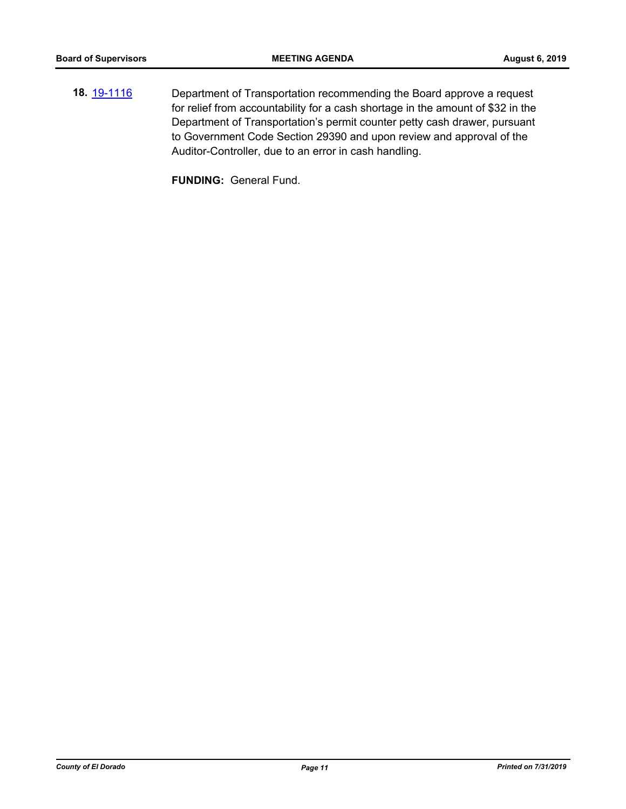**18.** [19-1116](http://eldorado.legistar.com/gateway.aspx?m=l&id=/matter.aspx?key=26438) Department of Transportation recommending the Board approve a request for relief from accountability for a cash shortage in the amount of \$32 in the Department of Transportation's permit counter petty cash drawer, pursuant to Government Code Section 29390 and upon review and approval of the Auditor-Controller, due to an error in cash handling.

**FUNDING:** General Fund.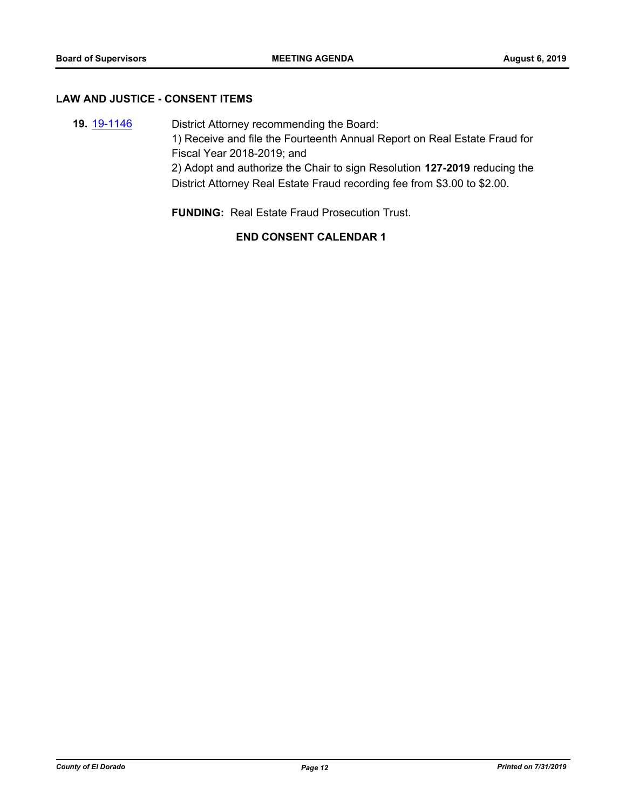#### **LAW AND JUSTICE - CONSENT ITEMS**

**19.** [19-1146](http://eldorado.legistar.com/gateway.aspx?m=l&id=/matter.aspx?key=26468) District Attorney recommending the Board: 1) Receive and file the Fourteenth Annual Report on Real Estate Fraud for Fiscal Year 2018-2019; and 2) Adopt and authorize the Chair to sign Resolution **127-2019** reducing the District Attorney Real Estate Fraud recording fee from \$3.00 to \$2.00.

**FUNDING:** Real Estate Fraud Prosecution Trust.

## **END CONSENT CALENDAR 1**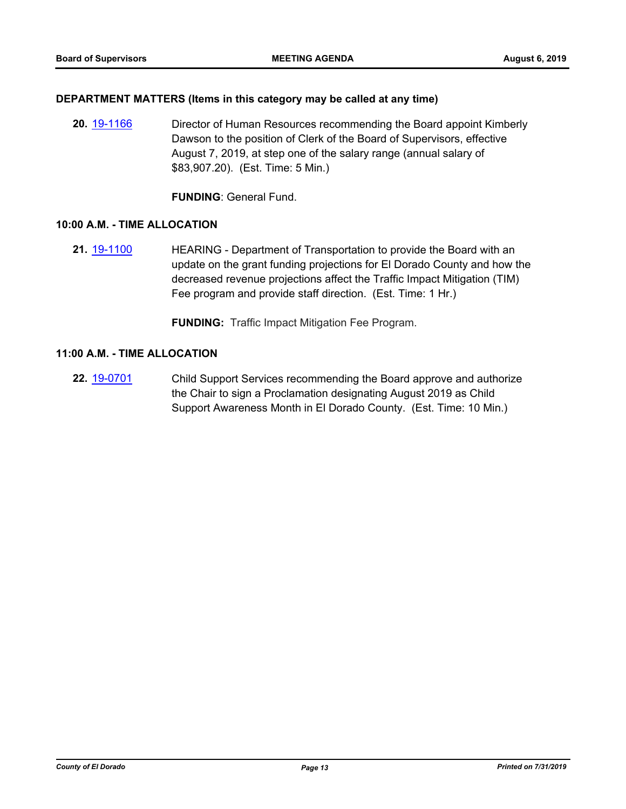#### **DEPARTMENT MATTERS (Items in this category may be called at any time)**

**20.** [19-1166](http://eldorado.legistar.com/gateway.aspx?m=l&id=/matter.aspx?key=26489) Director of Human Resources recommending the Board appoint Kimberly Dawson to the position of Clerk of the Board of Supervisors, effective August 7, 2019, at step one of the salary range (annual salary of \$83,907.20). (Est. Time: 5 Min.)

**FUNDING**: General Fund.

#### **10:00 A.M. - TIME ALLOCATION**

**21.** [19-1100](http://eldorado.legistar.com/gateway.aspx?m=l&id=/matter.aspx?key=26422) **HEARING - Department of Transportation to provide the Board with an** update on the grant funding projections for El Dorado County and how the decreased revenue projections affect the Traffic Impact Mitigation (TIM) Fee program and provide staff direction. (Est. Time: 1 Hr.)

**FUNDING:** Traffic Impact Mitigation Fee Program.

#### **11:00 A.M. - TIME ALLOCATION**

**22.** [19-0701](http://eldorado.legistar.com/gateway.aspx?m=l&id=/matter.aspx?key=26023) Child Support Services recommending the Board approve and authorize the Chair to sign a Proclamation designating August 2019 as Child Support Awareness Month in El Dorado County. (Est. Time: 10 Min.)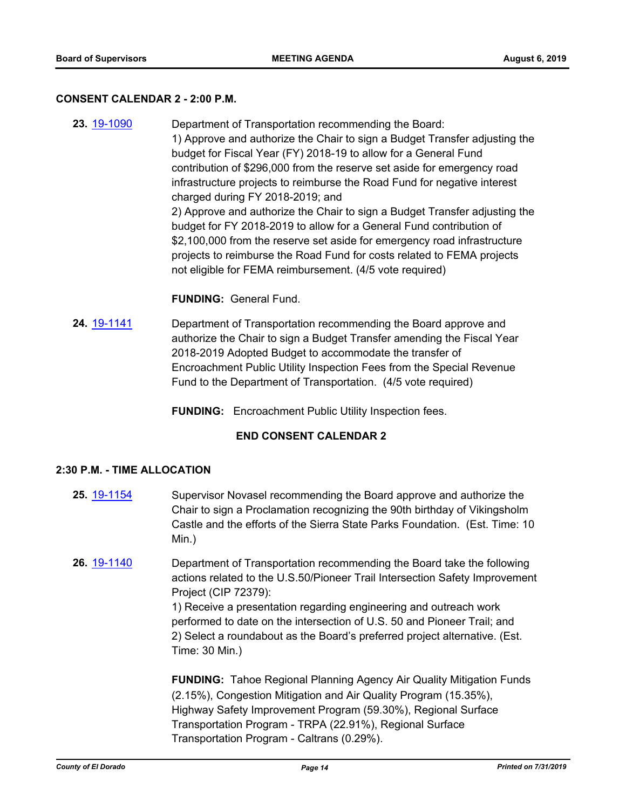#### **CONSENT CALENDAR 2 - 2:00 P.M.**

**23.** [19-1090](http://eldorado.legistar.com/gateway.aspx?m=l&id=/matter.aspx?key=26412) Department of Transportation recommending the Board: 1) Approve and authorize the Chair to sign a Budget Transfer adjusting the budget for Fiscal Year (FY) 2018-19 to allow for a General Fund contribution of \$296,000 from the reserve set aside for emergency road infrastructure projects to reimburse the Road Fund for negative interest charged during FY 2018-2019; and 2) Approve and authorize the Chair to sign a Budget Transfer adjusting the budget for FY 2018-2019 to allow for a General Fund contribution of \$2,100,000 from the reserve set aside for emergency road infrastructure projects to reimburse the Road Fund for costs related to FEMA projects not eligible for FEMA reimbursement. (4/5 vote required)

#### **FUNDING:** General Fund.

- **24.** [19-1141](http://eldorado.legistar.com/gateway.aspx?m=l&id=/matter.aspx?key=26463) Department of Transportation recommending the Board approve and authorize the Chair to sign a Budget Transfer amending the Fiscal Year 2018-2019 Adopted Budget to accommodate the transfer of Encroachment Public Utility Inspection Fees from the Special Revenue Fund to the Department of Transportation. (4/5 vote required)
	- **FUNDING:** Encroachment Public Utility Inspection fees.

#### **END CONSENT CALENDAR 2**

#### **2:30 P.M. - TIME ALLOCATION**

- **25.** [19-1154](http://eldorado.legistar.com/gateway.aspx?m=l&id=/matter.aspx?key=26476) Supervisor Novasel recommending the Board approve and authorize the Chair to sign a Proclamation recognizing the 90th birthday of Vikingsholm Castle and the efforts of the Sierra State Parks Foundation. (Est. Time: 10 Min.)
- **26.** [19-1140](http://eldorado.legistar.com/gateway.aspx?m=l&id=/matter.aspx?key=26462) Department of Transportation recommending the Board take the following actions related to the U.S.50/Pioneer Trail Intersection Safety Improvement Project (CIP 72379):

1) Receive a presentation regarding engineering and outreach work performed to date on the intersection of U.S. 50 and Pioneer Trail; and 2) Select a roundabout as the Board's preferred project alternative. (Est. Time: 30 Min.)

**FUNDING:** Tahoe Regional Planning Agency Air Quality Mitigation Funds (2.15%), Congestion Mitigation and Air Quality Program (15.35%), Highway Safety Improvement Program (59.30%), Regional Surface Transportation Program - TRPA (22.91%), Regional Surface Transportation Program - Caltrans (0.29%).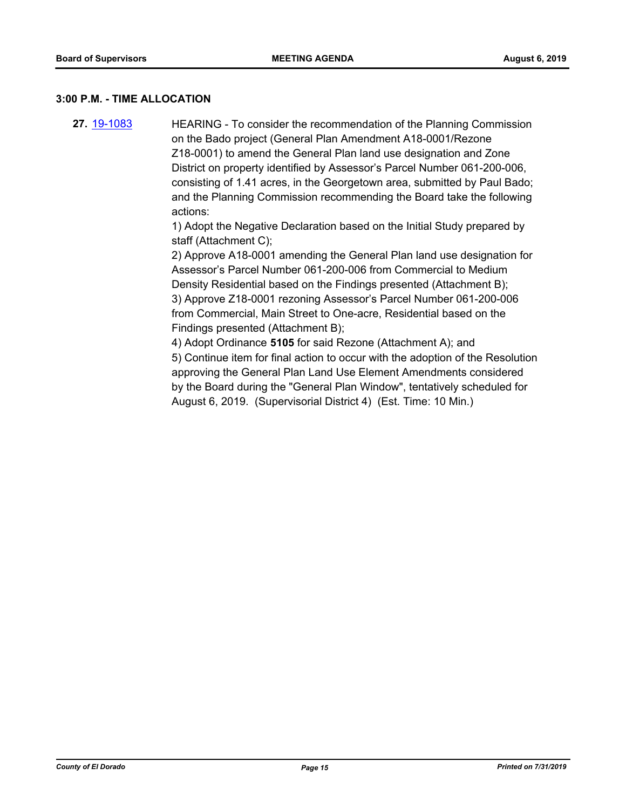#### **3:00 P.M. - TIME ALLOCATION**

**27.** [19-1083](http://eldorado.legistar.com/gateway.aspx?m=l&id=/matter.aspx?key=26405) HEARING - To consider the recommendation of the Planning Commission on the Bado project (General Plan Amendment A18-0001/Rezone Z18-0001) to amend the General Plan land use designation and Zone District on property identified by Assessor's Parcel Number 061-200-006, consisting of 1.41 acres, in the Georgetown area, submitted by Paul Bado; and the Planning Commission recommending the Board take the following actions:

> 1) Adopt the Negative Declaration based on the Initial Study prepared by staff (Attachment C);

2) Approve A18-0001 amending the General Plan land use designation for Assessor's Parcel Number 061-200-006 from Commercial to Medium Density Residential based on the Findings presented (Attachment B); 3) Approve Z18-0001 rezoning Assessor's Parcel Number 061-200-006 from Commercial, Main Street to One-acre, Residential based on the Findings presented (Attachment B);

4) Adopt Ordinance **5105** for said Rezone (Attachment A); and 5) Continue item for final action to occur with the adoption of the Resolution approving the General Plan Land Use Element Amendments considered by the Board during the "General Plan Window", tentatively scheduled for August 6, 2019. (Supervisorial District 4) (Est. Time: 10 Min.)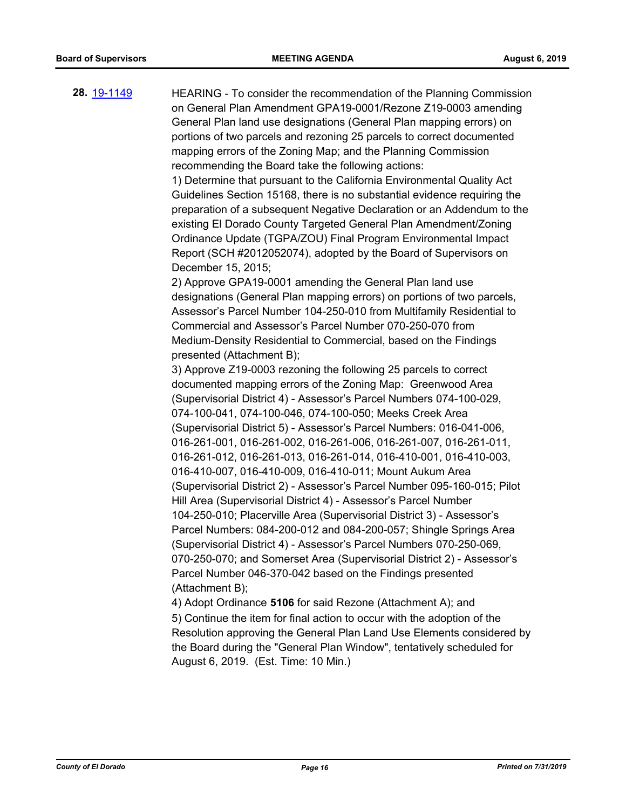**28.** [19-1149](http://eldorado.legistar.com/gateway.aspx?m=l&id=/matter.aspx?key=26471) HEARING - To consider the recommendation of the Planning Commission on General Plan Amendment GPA19-0001/Rezone Z19-0003 amending General Plan land use designations (General Plan mapping errors) on portions of two parcels and rezoning 25 parcels to correct documented mapping errors of the Zoning Map; and the Planning Commission recommending the Board take the following actions: 1) Determine that pursuant to the California Environmental Quality Act Guidelines Section 15168, there is no substantial evidence requiring the preparation of a subsequent Negative Declaration or an Addendum to the existing El Dorado County Targeted General Plan Amendment/Zoning Ordinance Update (TGPA/ZOU) Final Program Environmental Impact Report (SCH #2012052074), adopted by the Board of Supervisors on December 15, 2015; 2) Approve GPA19-0001 amending the General Plan land use designations (General Plan mapping errors) on portions of two parcels, Assessor's Parcel Number 104-250-010 from Multifamily Residential to Commercial and Assessor's Parcel Number 070-250-070 from Medium-Density Residential to Commercial, based on the Findings presented (Attachment B); 3) Approve Z19-0003 rezoning the following 25 parcels to correct documented mapping errors of the Zoning Map: Greenwood Area (Supervisorial District 4) - Assessor's Parcel Numbers 074-100-029, 074-100-041, 074-100-046, 074-100-050; Meeks Creek Area (Supervisorial District 5) - Assessor's Parcel Numbers: 016-041-006, 016-261-001, 016-261-002, 016-261-006, 016-261-007, 016-261-011, 016-261-012, 016-261-013, 016-261-014, 016-410-001, 016-410-003,

016-410-007, 016-410-009, 016-410-011; Mount Aukum Area

Hill Area (Supervisorial District 4) - Assessor's Parcel Number

(Supervisorial District 2) - Assessor's Parcel Number 095-160-015; Pilot

104-250-010; Placerville Area (Supervisorial District 3) - Assessor's Parcel Numbers: 084-200-012 and 084-200-057; Shingle Springs Area (Supervisorial District 4) - Assessor's Parcel Numbers 070-250-069, 070-250-070; and Somerset Area (Supervisorial District 2) - Assessor's

Parcel Number 046-370-042 based on the Findings presented (Attachment B); 4) Adopt Ordinance **5106** for said Rezone (Attachment A); and 5) Continue the item for final action to occur with the adoption of the Resolution approving the General Plan Land Use Elements considered by the Board during the "General Plan Window", tentatively scheduled for August 6, 2019. (Est. Time: 10 Min.)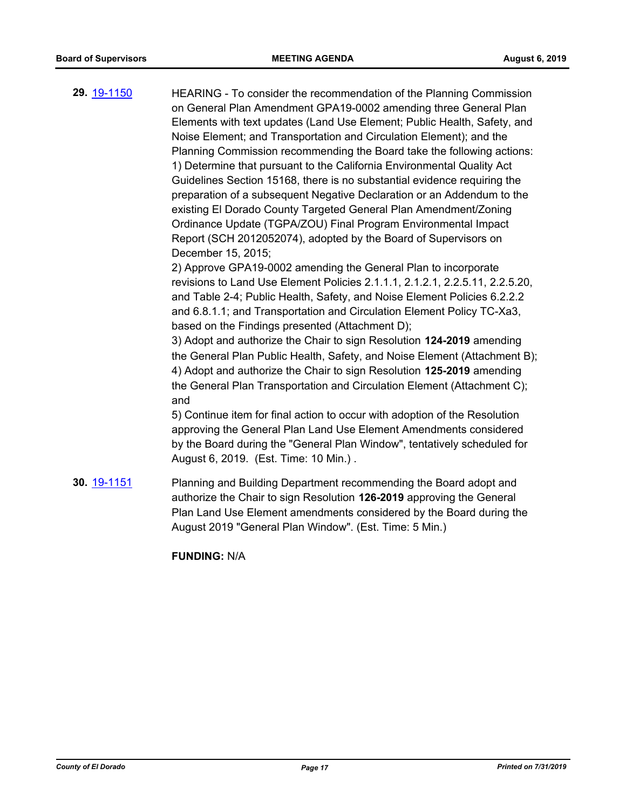**29.** [19-1150](http://eldorado.legistar.com/gateway.aspx?m=l&id=/matter.aspx?key=26472) HEARING - To consider the recommendation of the Planning Commission on General Plan Amendment GPA19-0002 amending three General Plan Elements with text updates (Land Use Element; Public Health, Safety, and Noise Element; and Transportation and Circulation Element); and the Planning Commission recommending the Board take the following actions: 1) Determine that pursuant to the California Environmental Quality Act Guidelines Section 15168, there is no substantial evidence requiring the preparation of a subsequent Negative Declaration or an Addendum to the existing El Dorado County Targeted General Plan Amendment/Zoning Ordinance Update (TGPA/ZOU) Final Program Environmental Impact Report (SCH 2012052074), adopted by the Board of Supervisors on December 15, 2015; 2) Approve GPA19-0002 amending the General Plan to incorporate revisions to Land Use Element Policies 2.1.1.1, 2.1.2.1, 2.2.5.11, 2.2.5.20, and Table 2-4; Public Health, Safety, and Noise Element Policies 6.2.2.2 and 6.8.1.1; and Transportation and Circulation Element Policy TC-Xa3, based on the Findings presented (Attachment D); 3) Adopt and authorize the Chair to sign Resolution **124-2019** amending the General Plan Public Health, Safety, and Noise Element (Attachment B); 4) Adopt and authorize the Chair to sign Resolution **125-2019** amending the General Plan Transportation and Circulation Element (Attachment C); and 5) Continue item for final action to occur with adoption of the Resolution approving the General Plan Land Use Element Amendments considered by the Board during the "General Plan Window", tentatively scheduled for August 6, 2019. (Est. Time: 10 Min.) . **30.** [19-1151](http://eldorado.legistar.com/gateway.aspx?m=l&id=/matter.aspx?key=26473) Planning and Building Department recommending the Board adopt and authorize the Chair to sign Resolution **126-2019** approving the General Plan Land Use Element amendments considered by the Board during the

August 2019 "General Plan Window". (Est. Time: 5 Min.)

**FUNDING:** N/A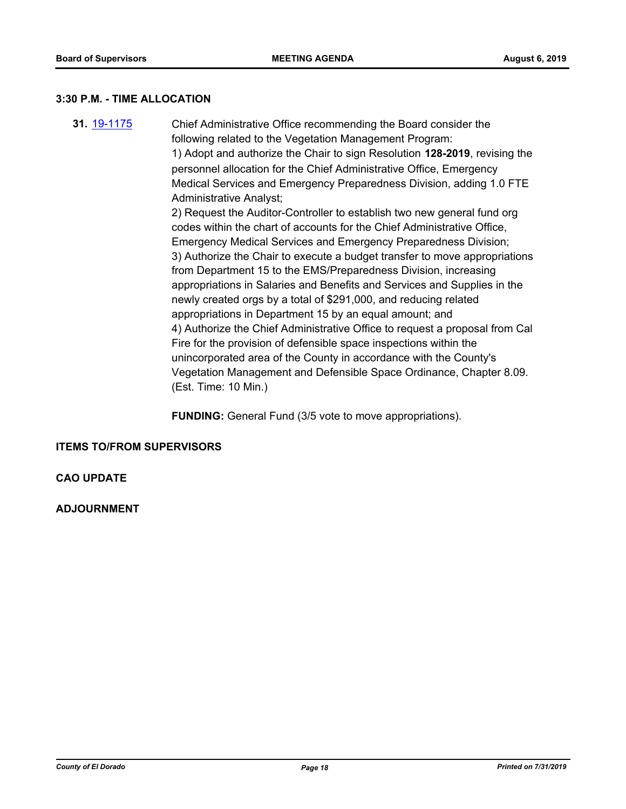#### **3:30 P.M. - TIME ALLOCATION**

**31.** [19-1175](http://eldorado.legistar.com/gateway.aspx?m=l&id=/matter.aspx?key=26498) Chief Administrative Office recommending the Board consider the following related to the Vegetation Management Program: 1) Adopt and authorize the Chair to sign Resolution **128-2019**, revising the personnel allocation for the Chief Administrative Office, Emergency Medical Services and Emergency Preparedness Division, adding 1.0 FTE Administrative Analyst; 2) Request the Auditor-Controller to establish two new general fund org codes within the chart of accounts for the Chief Administrative Office, Emergency Medical Services and Emergency Preparedness Division; 3) Authorize the Chair to execute a budget transfer to move appropriations from Department 15 to the EMS/Preparedness Division, increasing appropriations in Salaries and Benefits and Services and Supplies in the newly created orgs by a total of \$291,000, and reducing related appropriations in Department 15 by an equal amount; and 4) Authorize the Chief Administrative Office to request a proposal from Cal Fire for the provision of defensible space inspections within the unincorporated area of the County in accordance with the County's Vegetation Management and Defensible Space Ordinance, Chapter 8.09. (Est. Time: 10 Min.)

**FUNDING:** General Fund (3/5 vote to move appropriations).

#### **ITEMS TO/FROM SUPERVISORS**

## **CAO UPDATE**

**ADJOURNMENT**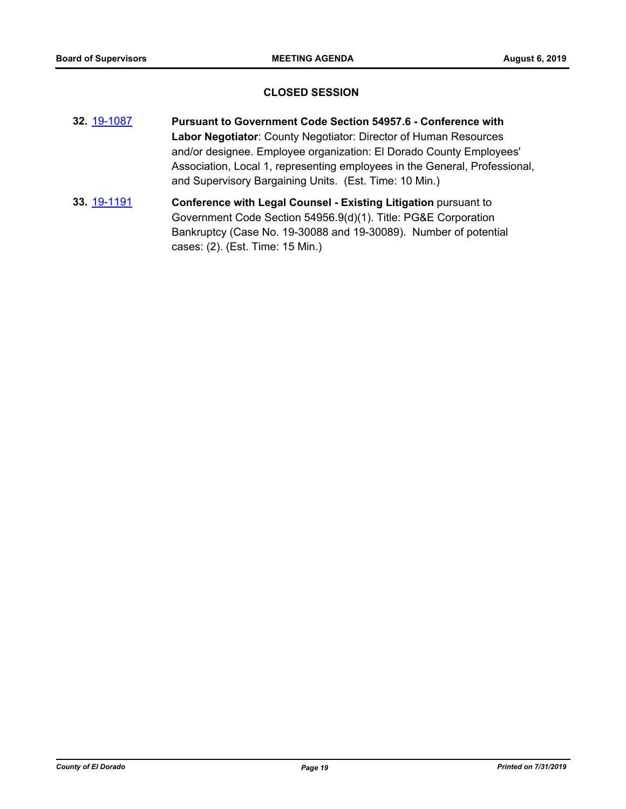#### **CLOSED SESSION**

- **32.** [19-1087](http://eldorado.legistar.com/gateway.aspx?m=l&id=/matter.aspx?key=26409) **Pursuant to Government Code Section 54957.6 Conference with Labor Negotiator**: County Negotiator: Director of Human Resources and/or designee. Employee organization: El Dorado County Employees' Association, Local 1, representing employees in the General, Professional, and Supervisory Bargaining Units. (Est. Time: 10 Min.)
- **33.** [19-1191](http://eldorado.legistar.com/gateway.aspx?m=l&id=/matter.aspx?key=26514) **Conference with Legal Counsel - Existing Litigation** pursuant to Government Code Section 54956.9(d)(1). Title: PG&E Corporation Bankruptcy (Case No. 19-30088 and 19-30089). Number of potential cases: (2). (Est. Time: 15 Min.)